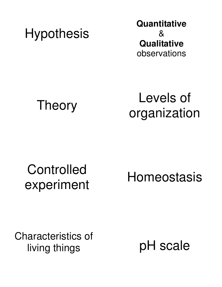**Hypothesis** 

**Quantitative**  & **Qualitative**  observations

Theory

Levels of organization

#### **Controlled** experiment

Homeostasis

Characteristics of living things

pH scale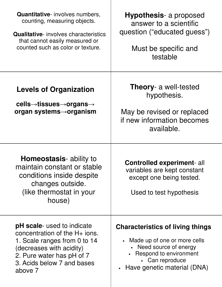| <b>Quantitative-</b> involves numbers,<br>counting, measuring objects.<br><b>Qualitative-</b> involves characteristics<br>that cannot easily measured or<br>counted such as color or texture.          | <b>Hypothesis-</b> a proposed<br>answer to a scientific<br>question ("educated guess")<br>Must be specific and<br>testable                                                       |
|--------------------------------------------------------------------------------------------------------------------------------------------------------------------------------------------------------|----------------------------------------------------------------------------------------------------------------------------------------------------------------------------------|
| <b>Levels of Organization</b><br>$\text{cells}\rightarrow$ tissues $\rightarrow$ organs $\rightarrow$<br>organ systems $\rightarrow$ organism                                                          | <b>Theory-</b> a well-tested<br>hypothesis.<br>May be revised or replaced<br>if new information becomes<br>available.                                                            |
| Homeostasis- ability to<br>maintain constant or stable<br>conditions inside despite<br>changes outside.<br>(like thermostat in your<br>house)                                                          | <b>Controlled experiment-all</b><br>variables are kept constant<br>except one being tested.<br>Used to test hypothesis                                                           |
| <b>pH</b> scale- used to indicate<br>concentration of the $H+$ ions.<br>1. Scale ranges from 0 to 14<br>(decreases with acidity)<br>2. Pure water has pH of 7<br>3. Acids below 7 and bases<br>above 7 | <b>Characteristics of living things</b><br>• Made up of one or more cells<br>• Need source of energy<br>Respond to environment<br>• Can reproduce<br>Have genetic material (DNA) |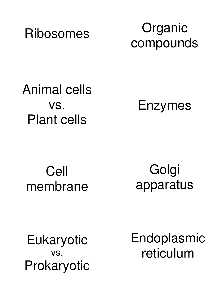

Organic compounds

Animal cells vs. Plant cells

Enzymes

Cell membrane

Golgi apparatus

Eukaryotic vs. Prokaryotic Endoplasmic reticulum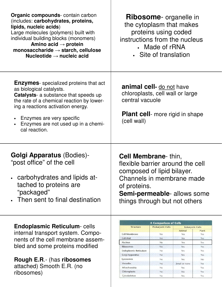| Organic compounds- contain carbon<br>(includes: carbohydrates, proteins,<br>lipids, nucleic acids)<br>Large molecules (polymers) built with<br>individual building blocks (monomers)<br>Amino acid $\rightarrow$ protein<br>monosaccharide $\rightarrow$ starch, cellulose<br>Nucleotide $\rightarrow$ nucleic acid | <b>Ribosome</b> - organelle in<br>the cytoplasm that makes<br>proteins using coded<br>instructions from the nucleus<br>• Made of rRNA<br>• Site of translation                                                                                                                                                                                                                                                                                                                                                                                                             |
|---------------------------------------------------------------------------------------------------------------------------------------------------------------------------------------------------------------------------------------------------------------------------------------------------------------------|----------------------------------------------------------------------------------------------------------------------------------------------------------------------------------------------------------------------------------------------------------------------------------------------------------------------------------------------------------------------------------------------------------------------------------------------------------------------------------------------------------------------------------------------------------------------------|
| <b>Enzymes</b> - specialized proteins that act<br>as biological catalysts.<br><b>Catalysts-</b> a substance that speeds up<br>the rate of a chemical reaction by lower-<br>ing a reactions activation energy.<br>Enzymes are very specific<br>Enzymes are not used up in a chemi-<br>cal reaction.                  | <b>animal cell-</b> do not have<br>chloroplasts, cell wall or large<br>central vacuole<br><b>Plant cell</b> - more rigid in shape<br>(cell wall)                                                                                                                                                                                                                                                                                                                                                                                                                           |
| <b>Golgi Apparatus (Bodies)-</b><br>"post office" of the cell<br>carbohydrates and lipids at-<br>tached to proteins are<br>"packaged"<br>Then sent to final destination                                                                                                                                             | <b>Cell Membrane</b> -thin,<br>flexible barrier around the cell<br>composed of lipid bilayer.<br>Channels in membrane made<br>of proteins.<br>Semi-permeable- allows some<br>things through but not others                                                                                                                                                                                                                                                                                                                                                                 |
| <b>Endoplasmic Reticulum-cells</b><br>internal transport system. Compo-<br>nents of the cell membrane assem-<br>bled and some proteins modified<br><b>Rough E.R.- (has ribosomes</b><br>attached) Smooth E.R. (no<br>ribosomes)                                                                                     | <b>A Comparison of Cells</b><br><b>Prokaryotic Cells</b><br><b>Structure</b><br><b>Eukaryotic Cells</b><br>Animal<br>Plant<br><b>Cell Membrane</b><br>Yes<br>Yes<br>Yes<br><b>Cell Wall</b><br>Yes<br>Yes<br>No.<br>Nucleus<br>No<br>Yes<br>Yes<br><b>Ribosomes</b><br>Yes<br>Yes<br>Yes<br>Endoplasmic Reticulum<br>No<br>Yes<br>Yes<br>Golgi Apparatus<br><b>No</b><br>Yes<br>Yes<br>Lysosomes<br>No<br>Yes<br>No.<br>Vacuoles<br>No<br>Small or none<br>Yes<br>Mitochondria<br>No<br>Yes<br>Yes<br>Chloroplasts<br>No<br>No.<br>Yes<br>Cytoskeleton<br>No<br>Yes<br>Yes |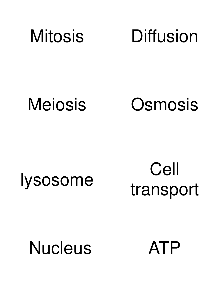

Meiosis

**Osmosis** 

## lysosome

Cell transport

# **Nucleus**

ATP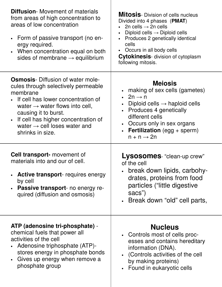| <b>Diffusion-</b> Movement of materials<br>from areas of high concentration to<br>areas of low concentration<br>• Form of passive transport (no en-<br>ergy required.<br>When concentration equal on both<br>sides of membrane $\rightarrow$ equilibrium                                                                      | <b>Mitosis</b> -Division of cells nucleus<br>Divided into 4 phases (PMAT)<br>2n cells $\rightarrow$ 2n cells<br>Diploid cells $\rightarrow$ Diploid cells<br>Produces 2 genetically identical<br>cells<br>• Occurs in all body cells<br><b>Cytokinesis-</b> division of cytoplasm<br>following mitosis. |
|-------------------------------------------------------------------------------------------------------------------------------------------------------------------------------------------------------------------------------------------------------------------------------------------------------------------------------|---------------------------------------------------------------------------------------------------------------------------------------------------------------------------------------------------------------------------------------------------------------------------------------------------------|
| <b>Osmosis</b> -Diffusion of water mole-<br>cules through selectively permeable<br>membrane<br>• If cell has lower concentration of<br>water $\rightarrow$ water flows into cell,<br>causing it to burst.<br>If cell has higher concentration of<br>$\bullet$<br>water $\rightarrow$ cell loses water and<br>shrinks in size. | <b>Mejosis</b><br>• making of sex cells (gametes)<br>• $2n \rightarrow n$<br>Diploid cells $\rightarrow$ haploid cells<br>• Produces 4 genetically<br>different cells<br>• Occurs only in sex organs<br><b>Fertilization</b> (egg $+$ sperm)<br>$n + n \rightarrow 2n$                                  |
| <b>Cell transport-</b> movement of<br>materials into and our of cell.<br><b>Active transport-</b> requires energy<br>by cell<br><b>Passive transport-</b> no energy re-<br>quired (diffusion and osmosis)                                                                                                                     | Lysosomes- "clean-up crew"<br>of the cell<br>break down lipids, carbohy-<br>drates, proteins from food<br>particles ("little digestive<br>sacs")<br>• Break down "old" cell parts,                                                                                                                      |
| ATP (adenosine tri-phosphate) -<br>chemical fuels that power all<br>activities of the cell<br>Adenosine triphosphate (ATP)-<br>stores energy in phosphate bonds<br>Gives up energy when remove a<br>phosphate group                                                                                                           | <b>Nucleus</b><br>• Controls most of cells proc-<br>esses and contains hereditary<br>information (DNA).<br>(Controls activities of the cell<br>by making proteins)<br>Found in eukaryotic cells                                                                                                         |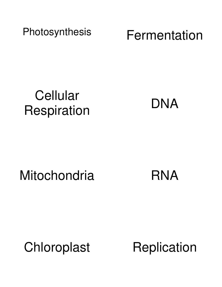Photosynthesis

Fermentation

## **Cellular** Respiration

DNA

**Mitochondria** 

RNA

Chloroplast

**Replication**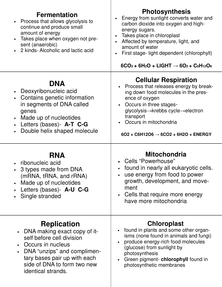| <b>Fermentation</b><br>Process that allows glycolysis to<br>continue and produce small<br>amount of energy<br>Takes place when oxygen not pre-<br>sent (anaerobic)<br>2 kinds- Alcoholic and lactic acid | <b>Photosynthesis</b><br>Energy from sunlight converts water and<br>$\bullet$<br>carbon dioxide into oxygen and high-<br>energy sugars.<br>Takes place in chloroplast<br>$\bullet$<br>Affected by temperature, light, and<br>$\bullet$<br>amount of water<br>First stage- light dependent (chlorophyll)<br>$6CO2 + 6H2O + LIGHT \rightarrow 6O2 + C6H12O6$ |
|----------------------------------------------------------------------------------------------------------------------------------------------------------------------------------------------------------|------------------------------------------------------------------------------------------------------------------------------------------------------------------------------------------------------------------------------------------------------------------------------------------------------------------------------------------------------------|
| <b>DNA</b><br>Deoxyribonucleic acid<br>Contains genetic information<br>in segments of DNA called<br>genes<br>Made up of nucleotides<br>Letters (bases) - A-T C-G<br>Double helix shaped molecule         | <b>Cellular Respiration</b><br>• Process that releases energy by break-<br>ing down food molecules in the pres-<br>ence of oxygen<br>Occurs in three stages-<br>$\bullet$<br>glycolysis→krebbs cycle→electron<br>transport<br>Occurs in mitochondria<br>$602 + C6H12O6 \rightarrow 6CO2 + 6H2O + ENERGY$                                                   |
|                                                                                                                                                                                                          |                                                                                                                                                                                                                                                                                                                                                            |
| <b>RNA</b><br>ribonucleic acid<br>3 types made from DNA<br>(mRNA, tRNA, and rRNA)<br>Made up of nucleotides<br>Letters (bases) - A-U C-G<br>Single stranded                                              | <b>Mitochondria</b><br><b>Cells "Powerhouse"</b><br>found in nearly all eukaryotic cells.<br>use energy from food to power<br>$\bullet$<br>growth, development, and move-<br>ment<br>Cells that require more energy<br>$\bullet$<br>have more mitochondria                                                                                                 |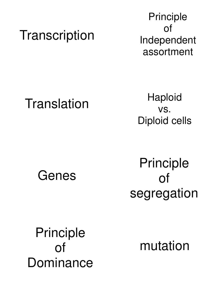#### **Transcription**

Principle of Independent assortment

#### **Translation**

**Haploid** vs. Diploid cells

Genes

Principle of segregation

Principle of Dominance

mutation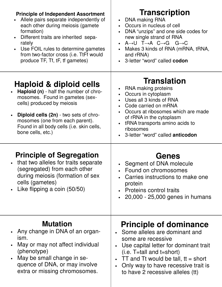| <b>Principle of Independent Assortment</b><br>Allele pairs separate independently of<br>$\bullet$<br>each other during meiosis (gamete<br>formation)<br>Different traits are inherited sepa-<br>$\bullet$<br>rately<br>Use FOIL rules to determine gametes<br>$\bullet$<br>from two-factor cross (i.e. TtFf would<br>produce TF, Tf, tF, tf gametes) | <b>Transcription</b><br>DNA making RNA<br>$\bullet$<br>• Occurs in nucleus of cell<br>DNA "unzips" and one side codes for<br>$\bullet$<br>new single strand of RNA<br>$A \rightarrow U$ T $\rightarrow$ A C $\rightarrow$ G G $\rightarrow$ C<br>$\bullet$<br>Makes 3 kinds of RNA (mRNA, tRNA,<br>$\bullet$<br>and rRNA)<br>3-letter "word" called codon<br>$\bullet$ |
|------------------------------------------------------------------------------------------------------------------------------------------------------------------------------------------------------------------------------------------------------------------------------------------------------------------------------------------------------|------------------------------------------------------------------------------------------------------------------------------------------------------------------------------------------------------------------------------------------------------------------------------------------------------------------------------------------------------------------------|
| Haploid & diploid cells<br>Haploid (n) - half the number of chro-<br>mosomes. Found in gametes (sex-<br>cells) produced by meiosis<br>Diploid cells (2n) - two sets of chro-<br>mosomes (one from each parent).<br>Found in all body cells (i.e. skin cells,<br>bone cells, etc.)                                                                    | <b>Translation</b><br>RNA making proteins<br>$\bullet$<br>Occurs in cytoplasm<br>$\bullet$<br>Uses all 3 kinds of RNA<br>Code carried on mRNA<br>$\bullet$<br>Occurs at ribosomes which are made<br>$\bullet$<br>of rRNA in the cytoplasm<br>tRNA transports amino acids to<br>$\bullet$<br>ribosomes<br>3-letter "word" called anticodon<br>$\bullet$                 |
| <b>Principle of Segregation</b><br>that two alleles for traits separate<br>(segregated) from each other<br>during meiosis (formation of sex<br>cells (gametes)<br>Like flipping a coin (50/50)                                                                                                                                                       | <b>Genes</b><br>Segment of DNA molecule<br>$\bullet$<br>Found on chromosomes<br>Carries instructions to make one<br>protein<br>Proteins control traits<br>20,000 - 25,000 genes in humans                                                                                                                                                                              |
| <b>Mutation</b><br>Any change in DNA of an organ-<br>ism.<br>May or may not affect individual<br>(phenotype)<br>May be small change in se-<br>quence of DNA, or may involve<br>extra or missing chromosomes.                                                                                                                                         | <b>Principle of dominance</b><br>Some alleles are dominant and<br>some are recessive<br>Use capital letter for dominant trait<br>$(i.e. T=$ tall and t=short)<br>TT and Tt would be tall, $tt = short$<br>Only way to have recessive trait is<br>to have 2 recessive alleles (tt)                                                                                      |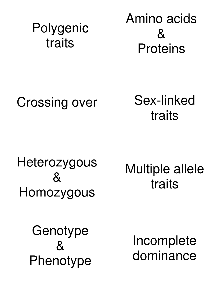## Polygenic traits

Amino acids  $8<sub>l</sub>$ Proteins

## Crossing over

Sex-linked traits

Heterozygous  $8<sub>k</sub>$ Homozygous

Multiple allele traits

**Genotype**  $8<sup>2</sup>$ Phenotype

Incomplete dominance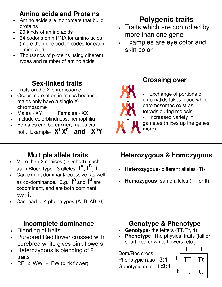| <b>Amino acids and Proteins</b><br>Amino acids are monomers that build<br>proteins<br>20 kinds of amino acids<br>64 codons on mRNA for amino acids<br>$\bullet$<br>(more than one codon codes for each<br>amino acid<br>Thousands of proteins using different<br>$\bullet$<br>types and number of amino acids       | <b>Polygenic traits</b><br>• Traits which are controlled by<br>more than one gene<br>• Examples are eye color and<br>skin color                                                                                                                                     |
|---------------------------------------------------------------------------------------------------------------------------------------------------------------------------------------------------------------------------------------------------------------------------------------------------------------------|---------------------------------------------------------------------------------------------------------------------------------------------------------------------------------------------------------------------------------------------------------------------|
| <b>Sex-linked traits</b><br>Traits on the X-chromosome<br>$\bullet$<br>Occur more often in males because<br>males only have a single X-<br>chromosome<br>Females - XX<br>Males - XY<br>Include colorblindness, hemophilia<br>Females can be carrier, males can-<br>$\bullet$<br>not Example- $X^H X^h$ and $X^h Y$  | <b>Crossing over</b><br>Exchange of portions of<br>chromatids takes place while<br>chromosomes exist as<br>tetrads during meiosis<br>Increased variety in<br>gametes (mixes up the genes<br>more)                                                                   |
| <b>Multiple allele traits</b><br>More than 2 choices (tall/short), such<br>as in Blood type. 3 alleles- $I^A$ , $I^B$ , i<br>Can exhibit dominant/recessive, as well<br>as co-dominance. E.g. $I^A$ and $I^B$ are<br>codominant, and are both dominant<br>over <b>i</b> .<br>Can lead to 4 phenotypes (A, B, AB, 0) | Heterozygous & homozygous<br>Heterozygous- different alleles (Tt)<br><b>Homozygous</b> - same alleles (TT or tt)                                                                                                                                                    |
| Incomplete dominance<br>Blending of traits<br>Purebred Red flower crossed with<br>purebred white gives pink flowers<br>Heterozygous is blending of 2<br>traits<br>$RR \times WW = RW (pink flower)$                                                                                                                 | <b>Genotype &amp; Phenotype</b><br><b>Genotype-</b> the letters (TT, Tt, tt)<br>Phenotype- The physical traits (tall or<br>short, red or white flowers, etc.)<br>t<br>Dom/Rec cross<br>Τt<br>TΤ<br>Phenotypic ratio- 3:1<br>Genotypic ratio- 1:2:1<br>t<br>Tt<br>tt |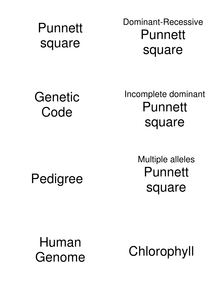#### **Punnett** square

Dominant-Recessive Punnett square

Genetic Code

Incomplete dominant **Punnett** square

Pedigree

Multiple alleles Punnett square

Human Genome

Chlorophyll